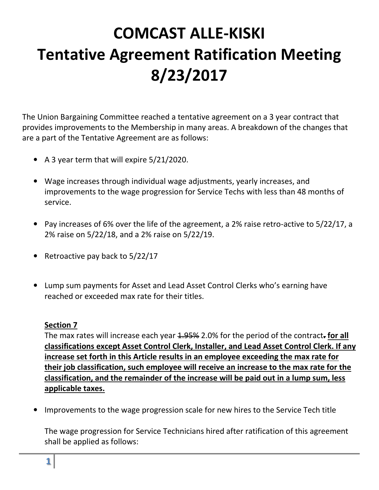# **COMCAST ALLE-KISKI Tentative Agreement Ratification Meeting 8/23/2017**

The Union Bargaining Committee reached a tentative agreement on a 3 year contract that provides improvements to the Membership in many areas. A breakdown of the changes that are a part of the Tentative Agreement are as follows:

- A 3 year term that will expire 5/21/2020.
- Wage increases through individual wage adjustments, yearly increases, and improvements to the wage progression for Service Techs with less than 48 months of service.
- Pay increases of 6% over the life of the agreement, a 2% raise retro-active to 5/22/17, a 2% raise on 5/22/18, and a 2% raise on 5/22/19.
- Retroactive pay back to 5/22/17
- Lump sum payments for Asset and Lead Asset Control Clerks who's earning have reached or exceeded max rate for their titles.

#### **Section 7**

The max rates will increase each year 1.95% 2.0% for the period of the contract**. for all classifications except Asset Control Clerk, Installer, and Lead Asset Control Clerk. If any increase set forth in this Article results in an employee exceeding the max rate for their job classification, such employee will receive an increase to the max rate for the classification, and the remainder of the increase will be paid out in a lump sum, less applicable taxes.** 

• Improvements to the wage progression scale for new hires to the Service Tech title

The wage progression for Service Technicians hired after ratification of this agreement shall be applied as follows: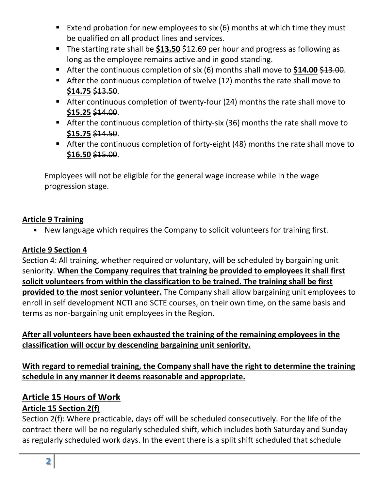- Extend probation for new employees to six  $(6)$  months at which time they must be qualified on all product lines and services.
- The starting rate shall be **\$13.50** \$12.69 per hour and progress as following as long as the employee remains active and in good standing.
- After the continuous completion of six (6) months shall move to \$14.00 \$13.00.
- After the continuous completion of twelve (12) months the rate shall move to **\$14.75** \$13.50.
- After continuous completion of twenty-four (24) months the rate shall move to **\$15.25** \$14.00.
- After the continuous completion of thirty-six (36) months the rate shall move to **\$15.75** \$14.50.
- After the continuous completion of forty-eight (48) months the rate shall move to **\$16.50** \$15.00.

Employees will not be eligible for the general wage increase while in the wage progression stage.

#### **Article 9 Training**

• New language which requires the Company to solicit volunteers for training first.

#### **Article 9 Section 4**

Section 4: All training, whether required or voluntary, will be scheduled by bargaining unit seniority. **When the Company requires that training be provided to employees it shall first solicit volunteers from within the classification to be trained. The training shall be first provided to the most senior volunteer.** The Company shall allow bargaining unit employees to enroll in self development NCTI and SCTE courses, on their own time, on the same basis and terms as non-bargaining unit employees in the Region.

## **After all volunteers have been exhausted the training of the remaining employees in the classification will occur by descending bargaining unit seniority.**

**With regard to remedial training, the Company shall have the right to determine the training schedule in any manner it deems reasonable and appropriate.** 

# **Article 15 Hours of Work**

# **Article 15 Section 2(f)**

Section 2(f): Where practicable, days off will be scheduled consecutively. For the life of the contract there will be no regularly scheduled shift, which includes both Saturday and Sunday as regularly scheduled work days. In the event there is a split shift scheduled that schedule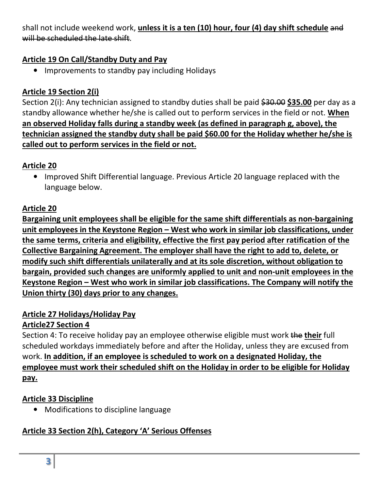shall not include weekend work, **unless it is a ten (10) hour, four (4) day shift schedule** and will be scheduled the late shift.

#### **Article 19 On Call/Standby Duty and Pay**

• Improvements to standby pay including Holidays

## **Article 19 Section 2(i)**

Section 2(i): Any technician assigned to standby duties shall be paid \$30.00 \$35.00 per day as a standby allowance whether he/she is called out to perform services in the field or not. **When an observed Holiday falls during a standby week (as defined in paragraph g, above), the technician assigned the standby duty shall be paid \$60.00 for the Holiday whether he/she is called out to perform services in the field or not.**

## **Article 20**

• Improved Shift Differential language. Previous Article 20 language replaced with the language below.

## **Article 20**

**Bargaining unit employees shall be eligible for the same shift differentials as non-bargaining unit employees in the Keystone Region – West who work in similar job classifications, under the same terms, criteria and eligibility, effective the first pay period after ratification of the Collective Bargaining Agreement. The employer shall have the right to add to, delete, or modify such shift differentials unilaterally and at its sole discretion, without obligation to bargain, provided such changes are uniformly applied to unit and non-unit employees in the Keystone Region – West who work in similar job classifications. The Company will notify the Union thirty (30) days prior to any changes.** 

## **Article 27 Holidays/Holiday Pay**

## **Article27 Section 4**

Section 4: To receive holiday pay an employee otherwise eligible must work the **their** full scheduled workdays immediately before and after the Holiday, unless they are excused from work. **In addition, if an employee is scheduled to work on a designated Holiday, the employee must work their scheduled shift on the Holiday in order to be eligible for Holiday pay.** 

## **Article 33 Discipline**

• Modifications to discipline language

# **Article 33 Section 2(h), Category 'A' Serious Offenses**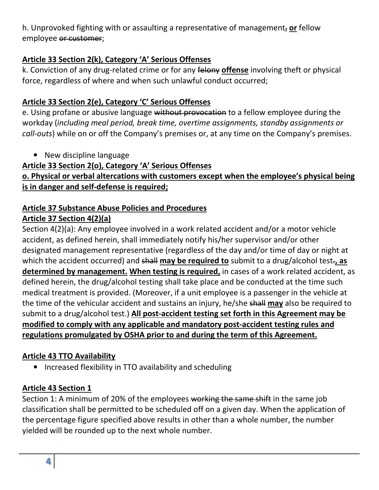h. Unprovoked fighting with or assaulting a representative of management, **or** fellow employee or customer;

## **Article 33 Section 2(k), Category 'A' Serious Offenses**

k. Conviction of any drug-related crime or for any felony **offense** involving theft or physical force, regardless of where and when such unlawful conduct occurred;

## **Article 33 Section 2(e), Category 'C' Serious Offenses**

e. Using profane or abusive language without provocation to a fellow employee during the workday (*including meal period, break time, overtime assignments, standby assignments or call-outs*) while on or off the Company's premises or, at any time on the Company's premises.

• New discipline language

#### **Article 33 Section 2(o), Category 'A' Serious Offenses**

## **o. Physical or verbal altercations with customers except when the employee's physical being is in danger and self-defense is required;**

#### **Article 37 Substance Abuse Policies and Procedures Article 37 Section 4(2)(a)**

Section 4(2)(a): Any employee involved in a work related accident and/or a motor vehicle accident, as defined herein, shall immediately notify his/her supervisor and/or other designated management representative (regardless of the day and/or time of day or night at which the accident occurred) and shall may be required to submit to a drug/alcohol test-, as **determined by management. When testing is required,** in cases of a work related accident, as defined herein, the drug/alcohol testing shall take place and be conducted at the time such medical treatment is provided. (Moreover, if a unit employee is a passenger in the vehicle at the time of the vehicular accident and sustains an injury, he/she shall **may** also be required to submit to a drug/alcohol test.) **All post-accident testing set forth in this Agreement may be modified to comply with any applicable and mandatory post-accident testing rules and regulations promulgated by OSHA prior to and during the term of this Agreement.**

## **Article 43 TTO Availability**

• Increased flexibility in TTO availability and scheduling

## **Article 43 Section 1**

Section 1: A minimum of 20% of the employees working the same shift in the same job classification shall be permitted to be scheduled off on a given day. When the application of the percentage figure specified above results in other than a whole number, the number yielded will be rounded up to the next whole number.